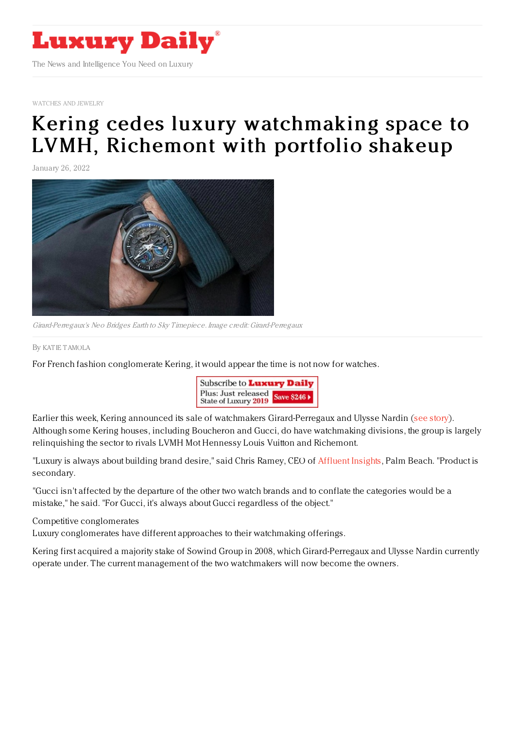

[WATCHES](https://www.luxurydaily.com/category/sectors/jewelry/) AND JEWELRY

## Kering cedes luxury [watchmaking](https://www.luxurydaily.com/?p=344318) space to LVMH, Richemont with portfolio shakeup

January 26, 2022



Girard-Perregaux's Neo Bridges Earth to Sky Timepiece. Image credit: Girard-Perregaux

By KAT IE [TAMOLA](file:///author/katie-tamola)

For French fashion conglomerate Kering, it would appear the time is not now for watches.



Earlier this week, Kering announced its sale of watchmakers Girard-Perregaux and Ulysse Nardin (see [story](https://www.luxurydaily.com/kering-sells-girard-perregaux-ulysse-nardin-to-its-current-management/)). Although some Kering houses, including Boucheron and Gucci, do have watchmaking divisions, the group is largely relinquishing the sector to rivals LVMH Mot Hennessy Louis Vuitton and Richemont.

"Luxury is always about building brand desire," said Chris Ramey, CEO of [Affluent](http://designcenterinternational.org/) Insights, Palm Beach. "Product is secondary.

"Gucci isn't affected by the departure of the other two watch brands and to conflate the categories would be a mistake," he said. "For Gucci, it's always about Gucci regardless of the object."

Competitive conglomerates

Luxury conglomerates have different approaches to their watchmaking offerings.

Kering first acquired a majority stake of Sowind Group in 2008, which Girard-Perregaux and Ulysse Nardin currently operate under. The current management of the two watchmakers will now become the owners.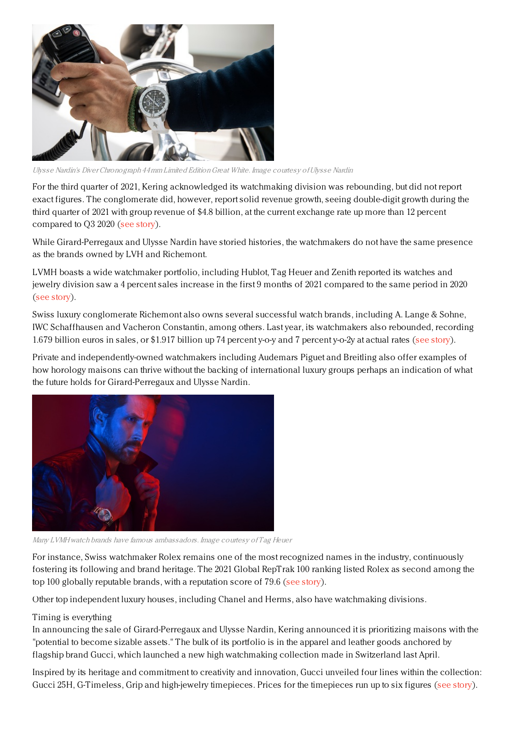

Ulysse Nardin's Diver Chronograph 44mm Limited EditionGreat White. Image courtesy ofUlysse Nardin

For the third quarter of 2021, Kering acknowledged its watchmaking division was rebounding, but did not report exact figures. The conglomerate did, however, report solid revenue growth, seeing double-digit growth during the third quarter of 2021 with group revenue of \$4.8 billion, at the current exchange rate up more than 12 percent compared to Q3 2020 (see [story](https://www.luxurydaily.com/kering-reports-solid-12pc-growth-in-q3/)).

While Girard-Perregaux and Ulysse Nardin have storied histories, the watchmakers do not have the same presence as the brands owned by LVH and Richemont.

LVMH boasts a wide watchmaker portfolio, including Hublot, Tag Heuer and Zenith reported its watches and jewelry division saw a 4 percent sales increase in the first 9 months of 2021 compared to the same period in 2020 (see [story](https://www.luxurydaily.com/lvmh-q3-2021-revenues/)).

Swiss luxury conglomerate Richemont also owns several successful watch brands, including A. Lange & Sohne, IWC Schaffhausen and Vacheron Constantin, among others. Last year, its watchmakers also rebounded, recording 1.679 billion euros in sales, or \$1.917 billion up 74 percent y-o-y and 7 percent y-o-2y at actual rates (see [story](https://www.luxurydaily.com/richemont-first-half-2022-earnings/)).

Private and independently-owned watchmakers including Audemars Piguet and Breitling also offer examples of how horology maisons can thrive without the backing of international luxury groups perhaps an indication of what the future holds for Girard-Perregaux and Ulysse Nardin.



Many LVMHwatch brands have famous ambassadors. Image courtesy of Tag Heuer

For instance, Swiss watchmaker Rolex remains one of the most recognized names in the industry, continuously fostering its following and brand heritage. The 2021 Global RepTrak 100 ranking listed Rolex as second among the top 100 globally reputable brands, with a reputation score of 79.6 (see [story](https://www.luxurydaily.com/luxury-most-reputable-global-companies/)).

Other top independent luxury houses, including Chanel and Herms, also have watchmaking divisions.

## Timing is everything

In announcing the sale of Girard-Perregaux and Ulysse Nardin, Kering announced it is prioritizing maisons with the "potential to become sizable assets." The bulk of its portfolio is in the apparel and leather goods anchored by flagship brand Gucci, which launched a new high watchmaking collection made in Switzerland last April.

Inspired by its heritage and commitment to creativity and innovation, Gucci unveiled four lines within the collection: Gucci 25H, G-Timeless, Grip and high-jewelry timepieces. Prices for the timepieces run up to six figures (see [story](https://www.luxurydaily.com/gucci-launches-swiss-high-watchmaking-collection/)).